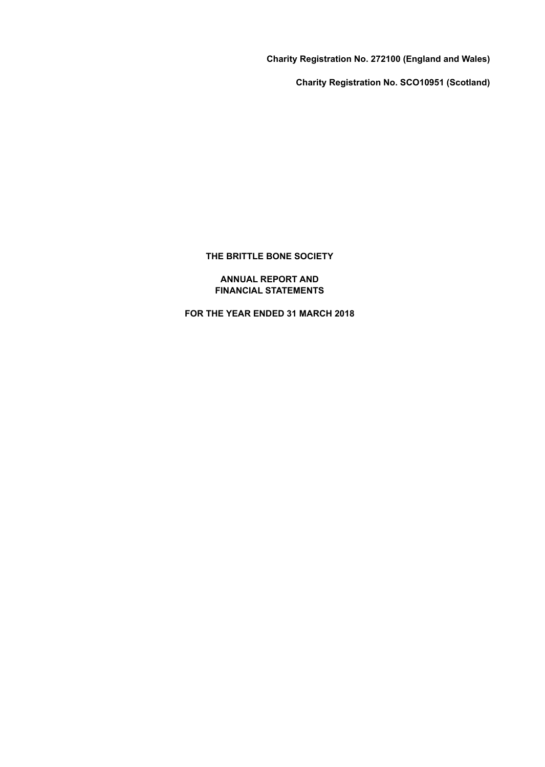**Charity Registration No. 272100 (England and Wales)**

**Charity Registration No. SCO10951 (Scotland)**

### **THE BRITTLE BONE SOCIETY**

### **ANNUAL REPORT AND FINANCIAL STATEMENTS**

**FOR THE YEAR ENDED 31 MARCH 2018**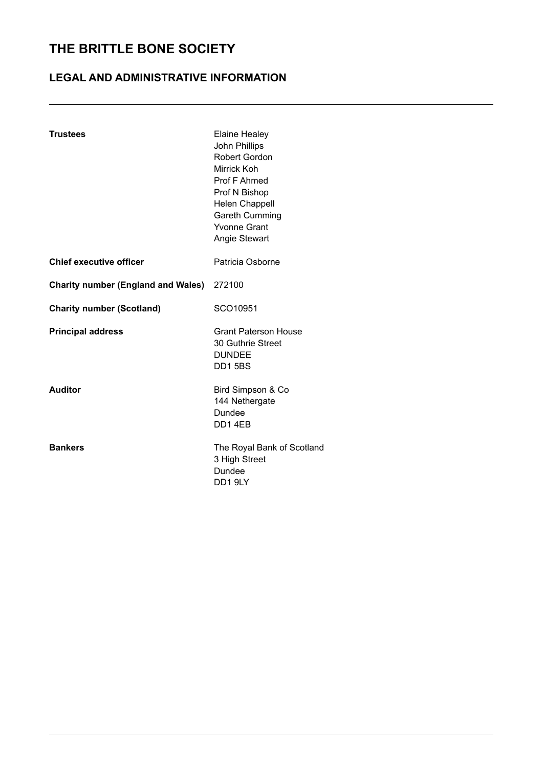### **LEGAL AND ADMINISTRATIVE INFORMATION**

| <b>Trustees</b>                           | <b>Elaine Healey</b><br><b>John Phillips</b><br><b>Robert Gordon</b><br>Mirrick Koh<br>Prof F Ahmed<br>Prof N Bishop<br><b>Helen Chappell</b><br>Gareth Cumming<br><b>Yvonne Grant</b><br>Angie Stewart |
|-------------------------------------------|---------------------------------------------------------------------------------------------------------------------------------------------------------------------------------------------------------|
| <b>Chief executive officer</b>            | Patricia Osborne                                                                                                                                                                                        |
| Charity number (England and Wales) 272100 |                                                                                                                                                                                                         |
| <b>Charity number (Scotland)</b>          | SCO10951                                                                                                                                                                                                |
| <b>Principal address</b>                  | <b>Grant Paterson House</b><br>30 Guthrie Street<br><b>DUNDEE</b><br><b>DD15BS</b>                                                                                                                      |
| <b>Auditor</b>                            | Bird Simpson & Co<br>144 Nethergate<br>Dundee<br>DD14EB                                                                                                                                                 |
| <b>Bankers</b>                            | The Royal Bank of Scotland<br>3 High Street<br>Dundee<br>DD19LY                                                                                                                                         |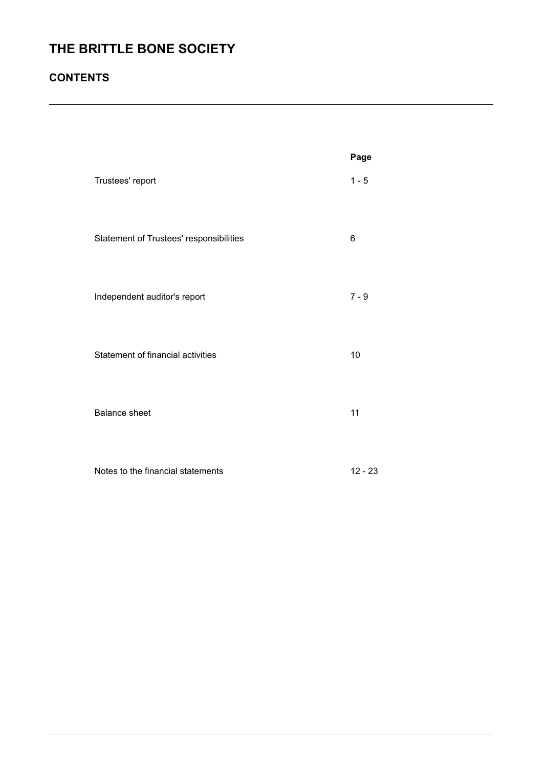# **CONTENTS**

|                                         | Page      |
|-----------------------------------------|-----------|
| Trustees' report                        | $1 - 5$   |
| Statement of Trustees' responsibilities | 6         |
| Independent auditor's report            | $7 - 9$   |
| Statement of financial activities       | 10        |
| <b>Balance sheet</b>                    | 11        |
| Notes to the financial statements       | $12 - 23$ |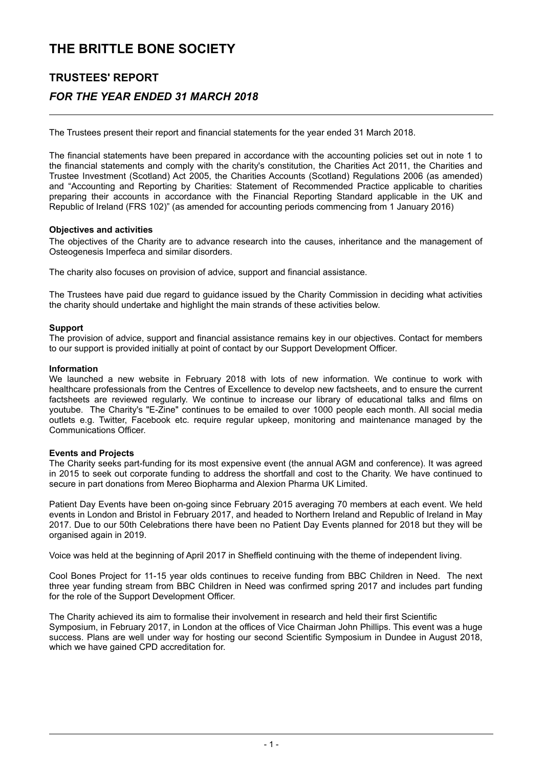### **TRUSTEES' REPORT**

### *FOR THE YEAR ENDED 31 MARCH 2018*

The Trustees present their report and financial statements for the year ended 31 March 2018.

The financial statements have been prepared in accordance with the accounting policies set out in note 1 to the financial statements and comply with the charity's constitution, the Charities Act 2011, the Charities and Trustee Investment (Scotland) Act 2005, the Charities Accounts (Scotland) Regulations 2006 (as amended) and "Accounting and Reporting by Charities: Statement of Recommended Practice applicable to charities preparing their accounts in accordance with the Financial Reporting Standard applicable in the UK and Republic of Ireland (FRS 102)" (as amended for accounting periods commencing from 1 January 2016)

### **Objectives and activities**

The objectives of the Charity are to advance research into the causes, inheritance and the management of Osteogenesis Imperfeca and similar disorders.

The charity also focuses on provision of advice, support and financial assistance.

The Trustees have paid due regard to guidance issued by the Charity Commission in deciding what activities the charity should undertake and highlight the main strands of these activities below.

### **Support**

The provision of advice, support and financial assistance remains key in our objectives. Contact for members to our support is provided initially at point of contact by our Support Development Officer.

#### **Information**

We launched a new website in February 2018 with lots of new information. We continue to work with healthcare professionals from the Centres of Excellence to develop new factsheets, and to ensure the current factsheets are reviewed regularly. We continue to increase our library of educational talks and films on youtube. The Charity's "E-Zine" continues to be emailed to over 1000 people each month. All social media outlets e.g. Twitter, Facebook etc. require regular upkeep, monitoring and maintenance managed by the Communications Officer.

### **Events and Projects**

The Charity seeks part-funding for its most expensive event (the annual AGM and conference). It was agreed in 2015 to seek out corporate funding to address the shortfall and cost to the Charity. We have continued to secure in part donations from Mereo Biopharma and Alexion Pharma UK Limited.

Patient Day Events have been on-going since February 2015 averaging 70 members at each event. We held events in London and Bristol in February 2017, and headed to Northern Ireland and Republic of Ireland in May 2017. Due to our 50th Celebrations there have been no Patient Day Events planned for 2018 but they will be organised again in 2019.

Voice was held at the beginning of April 2017 in Sheffield continuing with the theme of independent living.

Cool Bones Project for 11-15 year olds continues to receive funding from BBC Children in Need. The next three year funding stream from BBC Children in Need was confirmed spring 2017 and includes part funding for the role of the Support Development Officer.

The Charity achieved its aim to formalise their involvement in research and held their first Scientific Symposium, in February 2017, in London at the offices of Vice Chairman John Phillips. This event was a huge success. Plans are well under way for hosting our second Scientific Symposium in Dundee in August 2018, which we have gained CPD accreditation for.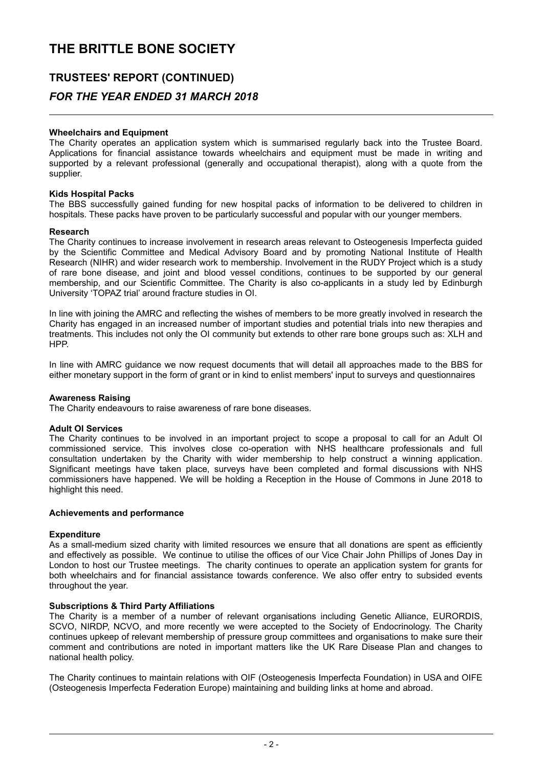### **TRUSTEES' REPORT (CONTINUED)**

### *FOR THE YEAR ENDED 31 MARCH 2018*

### **Wheelchairs and Equipment**

The Charity operates an application system which is summarised regularly back into the Trustee Board. Applications for financial assistance towards wheelchairs and equipment must be made in writing and supported by a relevant professional (generally and occupational therapist), along with a quote from the supplier.

### **Kids Hospital Packs**

The BBS successfully gained funding for new hospital packs of information to be delivered to children in hospitals. These packs have proven to be particularly successful and popular with our younger members.

### **Research**

The Charity continues to increase involvement in research areas relevant to Osteogenesis Imperfecta guided by the Scientific Committee and Medical Advisory Board and by promoting National Institute of Health Research (NIHR) and wider research work to membership. Involvement in the RUDY Project which is a study of rare bone disease, and joint and blood vessel conditions, continues to be supported by our general membership, and our Scientific Committee. The Charity is also co-applicants in a study led by Edinburgh University 'TOPAZ trial' around fracture studies in OI.

In line with joining the AMRC and reflecting the wishes of members to be more greatly involved in research the Charity has engaged in an increased number of important studies and potential trials into new therapies and treatments. This includes not only the OI community but extends to other rare bone groups such as: XLH and HPP.

In line with AMRC guidance we now request documents that will detail all approaches made to the BBS for either monetary support in the form of grant or in kind to enlist members' input to surveys and questionnaires

#### **Awareness Raising**

The Charity endeavours to raise awareness of rare bone diseases.

#### **Adult OI Services**

The Charity continues to be involved in an important project to scope a proposal to call for an Adult OI commissioned service. This involves close co-operation with NHS healthcare professionals and full consultation undertaken by the Charity with wider membership to help construct a winning application. Significant meetings have taken place, surveys have been completed and formal discussions with NHS commissioners have happened. We will be holding a Reception in the House of Commons in June 2018 to highlight this need.

#### **Achievements and performance**

#### **Expenditure**

As a small-medium sized charity with limited resources we ensure that all donations are spent as efficiently and effectively as possible. We continue to utilise the offices of our Vice Chair John Phillips of Jones Day in London to host our Trustee meetings. The charity continues to operate an application system for grants for both wheelchairs and for financial assistance towards conference. We also offer entry to subsided events throughout the year.

#### **Subscriptions & Third Party Affiliations**

The Charity is a member of a number of relevant organisations including Genetic Alliance, EURORDIS, SCVO, NIRDP, NCVO, and more recently we were accepted to the Society of Endocrinology. The Charity continues upkeep of relevant membership of pressure group committees and organisations to make sure their comment and contributions are noted in important matters like the UK Rare Disease Plan and changes to national health policy.

The Charity continues to maintain relations with OIF (Osteogenesis Imperfecta Foundation) in USA and OIFE (Osteogenesis Imperfecta Federation Europe) maintaining and building links at home and abroad.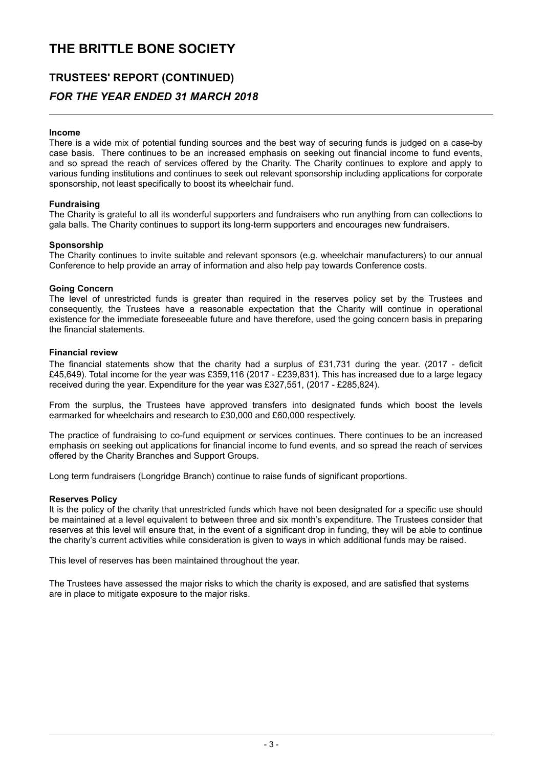### **TRUSTEES' REPORT (CONTINUED)** *FOR THE YEAR ENDED 31 MARCH 2018*

### **Income**

There is a wide mix of potential funding sources and the best way of securing funds is judged on a case-by case basis. There continues to be an increased emphasis on seeking out financial income to fund events, and so spread the reach of services offered by the Charity. The Charity continues to explore and apply to various funding institutions and continues to seek out relevant sponsorship including applications for corporate sponsorship, not least specifically to boost its wheelchair fund.

### **Fundraising**

The Charity is grateful to all its wonderful supporters and fundraisers who run anything from can collections to gala balls. The Charity continues to support its long-term supporters and encourages new fundraisers.

### **Sponsorship**

The Charity continues to invite suitable and relevant sponsors (e.g. wheelchair manufacturers) to our annual Conference to help provide an array of information and also help pay towards Conference costs.

### **Going Concern**

The level of unrestricted funds is greater than required in the reserves policy set by the Trustees and consequently, the Trustees have a reasonable expectation that the Charity will continue in operational existence for the immediate foreseeable future and have therefore, used the going concern basis in preparing the financial statements.

### **Financial review**

The financial statements show that the charity had a surplus of £31,731 during the year. (2017 - deficit £45,649). Total income for the year was £359,116 (2017 - £239,831). This has increased due to a large legacy received during the year. Expenditure for the year was £327,551, (2017 - £285,824).

From the surplus, the Trustees have approved transfers into designated funds which boost the levels earmarked for wheelchairs and research to £30,000 and £60,000 respectively.

The practice of fundraising to co-fund equipment or services continues. There continues to be an increased emphasis on seeking out applications for financial income to fund events, and so spread the reach of services offered by the Charity Branches and Support Groups.

Long term fundraisers (Longridge Branch) continue to raise funds of significant proportions.

#### **Reserves Policy**

It is the policy of the charity that unrestricted funds which have not been designated for a specific use should be maintained at a level equivalent to between three and six month's expenditure. The Trustees consider that reserves at this level will ensure that, in the event of a significant drop in funding, they will be able to continue the charity's current activities while consideration is given to ways in which additional funds may be raised.

This level of reserves has been maintained throughout the year.

The Trustees have assessed the major risks to which the charity is exposed, and are satisfied that systems are in place to mitigate exposure to the major risks.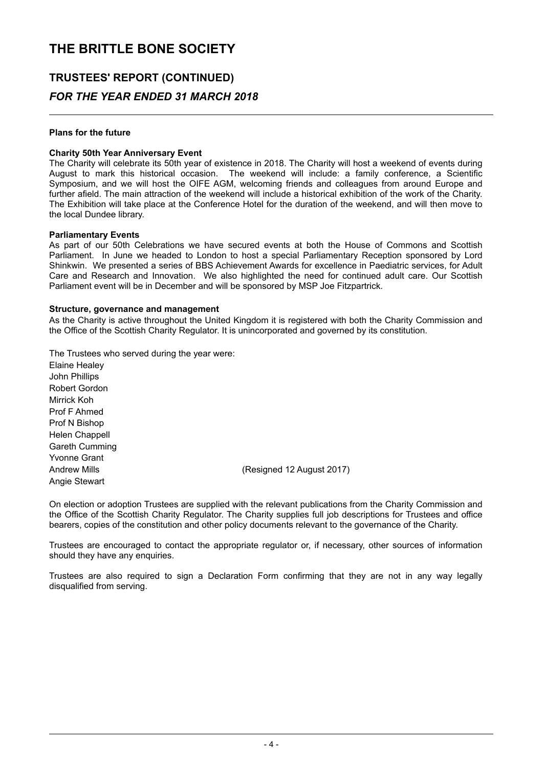### **TRUSTEES' REPORT (CONTINUED)** *FOR THE YEAR ENDED 31 MARCH 2018*

### **Plans for the future**

### **Charity 50th Year Anniversary Event**

The Charity will celebrate its 50th year of existence in 2018. The Charity will host a weekend of events during August to mark this historical occasion. The weekend will include: a family conference, a Scientific Symposium, and we will host the OIFE AGM, welcoming friends and colleagues from around Europe and further afield. The main attraction of the weekend will include a historical exhibition of the work of the Charity. The Exhibition will take place at the Conference Hotel for the duration of the weekend, and will then move to the local Dundee library.

### **Parliamentary Events**

As part of our 50th Celebrations we have secured events at both the House of Commons and Scottish Parliament. In June we headed to London to host a special Parliamentary Reception sponsored by Lord Shinkwin. We presented a series of BBS Achievement Awards for excellence in Paediatric services, for Adult Care and Research and Innovation. We also highlighted the need for continued adult care. Our Scottish Parliament event will be in December and will be sponsored by MSP Joe Fitzpartrick.

### **Structure, governance and management**

As the Charity is active throughout the United Kingdom it is registered with both the Charity Commission and the Office of the Scottish Charity Regulator. It is unincorporated and governed by its constitution.

The Trustees who served during the year were:

Elaine Healey John Phillips Robert Gordon Mirrick Koh Prof F Ahmed Prof N Bishop Helen Chappell Gareth Cumming Yvonne Grant Andrew Mills **Andrew Mills Andrew Mills August 2017**) Angie Stewart

On election or adoption Trustees are supplied with the relevant publications from the Charity Commission and the Office of the Scottish Charity Regulator. The Charity supplies full job descriptions for Trustees and office bearers, copies of the constitution and other policy documents relevant to the governance of the Charity.

Trustees are encouraged to contact the appropriate regulator or, if necessary, other sources of information should they have any enquiries.

Trustees are also required to sign a Declaration Form confirming that they are not in any way legally disqualified from serving.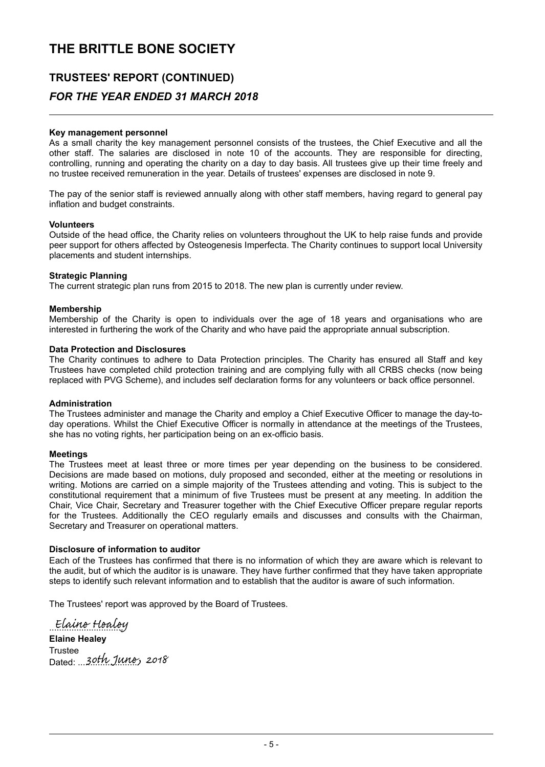### **TRUSTEES' REPORT (CONTINUED)**

### *FOR THE YEAR ENDED 31 MARCH 2018*

### **Key management personnel**

As a small charity the key management personnel consists of the trustees, the Chief Executive and all the other staff. The salaries are disclosed in note 10 of the accounts. They are responsible for directing, controlling, running and operating the charity on a day to day basis. All trustees give up their time freely and no trustee received remuneration in the year. Details of trustees' expenses are disclosed in note 9.

The pay of the senior staff is reviewed annually along with other staff members, having regard to general pay inflation and budget constraints.

#### **Volunteers**

Outside of the head office, the Charity relies on volunteers throughout the UK to help raise funds and provide peer support for others affected by Osteogenesis Imperfecta. The Charity continues to support local University placements and student internships.

### **Strategic Planning**

The current strategic plan runs from 2015 to 2018. The new plan is currently under review.

### **Membership**

Membership of the Charity is open to individuals over the age of 18 years and organisations who are interested in furthering the work of the Charity and who have paid the appropriate annual subscription.

#### **Data Protection and Disclosures**

The Charity continues to adhere to Data Protection principles. The Charity has ensured all Staff and key Trustees have completed child protection training and are complying fully with all CRBS checks (now being replaced with PVG Scheme), and includes self declaration forms for any volunteers or back office personnel.

#### **Administration**

The Trustees administer and manage the Charity and employ a Chief Executive Officer to manage the day-today operations. Whilst the Chief Executive Officer is normally in attendance at the meetings of the Trustees, she has no voting rights, her participation being on an ex-officio basis.

### **Meetings**

The Trustees meet at least three or more times per year depending on the business to be considered. Decisions are made based on motions, duly proposed and seconded, either at the meeting or resolutions in writing. Motions are carried on a simple majority of the Trustees attending and voting. This is subject to the constitutional requirement that a minimum of five Trustees must be present at any meeting. In addition the Chair, Vice Chair, Secretary and Treasurer together with the Chief Executive Officer prepare regular reports for the Trustees. Additionally the CEO regularly emails and discusses and consults with the Chairman, Secretary and Treasurer on operational matters.

### **Disclosure of information to auditor**

Each of the Trustees has confirmed that there is no information of which they are aware which is relevant to the audit, but of which the auditor is is unaware. They have further confirmed that they have taken appropriate steps to identify such relevant information and to establish that the auditor is aware of such information.

The Trustees' report was approved by the Board of Trustees.

Elaine Healey

**Elaine Healey**  Trustee Dated: 30FW Juney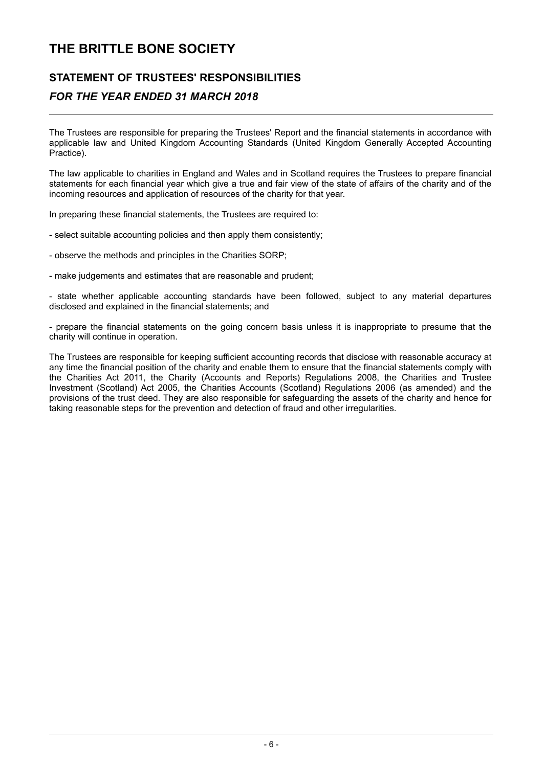### **STATEMENT OF TRUSTEES' RESPONSIBILITIES**

### *FOR THE YEAR ENDED 31 MARCH 2018*

The Trustees are responsible for preparing the Trustees' Report and the financial statements in accordance with applicable law and United Kingdom Accounting Standards (United Kingdom Generally Accepted Accounting Practice).

The law applicable to charities in England and Wales and in Scotland requires the Trustees to prepare financial statements for each financial year which give a true and fair view of the state of affairs of the charity and of the incoming resources and application of resources of the charity for that year.

In preparing these financial statements, the Trustees are required to:

- select suitable accounting policies and then apply them consistently;

- observe the methods and principles in the Charities SORP;

- make judgements and estimates that are reasonable and prudent;

- state whether applicable accounting standards have been followed, subject to any material departures disclosed and explained in the financial statements; and

- prepare the financial statements on the going concern basis unless it is inappropriate to presume that the charity will continue in operation.

The Trustees are responsible for keeping sufficient accounting records that disclose with reasonable accuracy at any time the financial position of the charity and enable them to ensure that the financial statements comply with the Charities Act 2011, the Charity (Accounts and Reports) Regulations 2008, the Charities and Trustee Investment (Scotland) Act 2005, the Charities Accounts (Scotland) Regulations 2006 (as amended) and the provisions of the trust deed. They are also responsible for safeguarding the assets of the charity and hence for taking reasonable steps for the prevention and detection of fraud and other irregularities.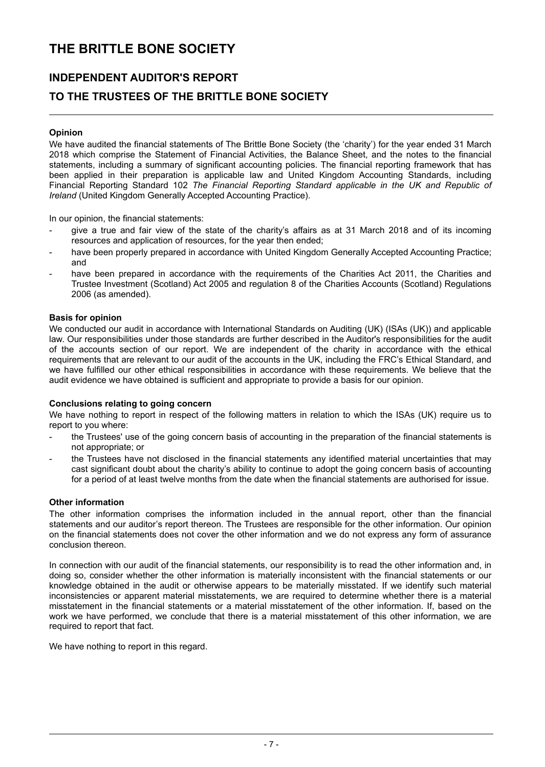### **INDEPENDENT AUDITOR'S REPORT**

### **TO THE TRUSTEES OF THE BRITTLE BONE SOCIETY**

### **Opinion**

We have audited the financial statements of The Brittle Bone Society (the 'charity') for the year ended 31 March 2018 which comprise the Statement of Financial Activities, the Balance Sheet, and the notes to the financial statements, including a summary of significant accounting policies. The financial reporting framework that has been applied in their preparation is applicable law and United Kingdom Accounting Standards, including Financial Reporting Standard 102 *The Financial Reporting Standard applicable in the UK and Republic of Ireland* (United Kingdom Generally Accepted Accounting Practice).

In our opinion, the financial statements:

- give a true and fair view of the state of the charity's affairs as at 31 March 2018 and of its incoming resources and application of resources, for the year then ended;
- have been properly prepared in accordance with United Kingdom Generally Accepted Accounting Practice; and
- have been prepared in accordance with the requirements of the Charities Act 2011, the Charities and Trustee Investment (Scotland) Act 2005 and regulation 8 of the Charities Accounts (Scotland) Regulations 2006 (as amended).

### **Basis for opinion**

We conducted our audit in accordance with International Standards on Auditing (UK) (ISAs (UK)) and applicable law. Our responsibilities under those standards are further described in the Auditor's responsibilities for the audit of the accounts section of our report. We are independent of the charity in accordance with the ethical requirements that are relevant to our audit of the accounts in the UK, including the FRC's Ethical Standard, and we have fulfilled our other ethical responsibilities in accordance with these requirements. We believe that the audit evidence we have obtained is sufficient and appropriate to provide a basis for our opinion.

#### **Conclusions relating to going concern**

We have nothing to report in respect of the following matters in relation to which the ISAs (UK) require us to report to you where:

- the Trustees' use of the going concern basis of accounting in the preparation of the financial statements is not appropriate; or
- the Trustees have not disclosed in the financial statements any identified material uncertainties that may cast significant doubt about the charity's ability to continue to adopt the going concern basis of accounting for a period of at least twelve months from the date when the financial statements are authorised for issue.

### **Other information**

The other information comprises the information included in the annual report, other than the financial statements and our auditor's report thereon. The Trustees are responsible for the other information. Our opinion on the financial statements does not cover the other information and we do not express any form of assurance conclusion thereon.

In connection with our audit of the financial statements, our responsibility is to read the other information and, in doing so, consider whether the other information is materially inconsistent with the financial statements or our knowledge obtained in the audit or otherwise appears to be materially misstated. If we identify such material inconsistencies or apparent material misstatements, we are required to determine whether there is a material misstatement in the financial statements or a material misstatement of the other information. If, based on the work we have performed, we conclude that there is a material misstatement of this other information, we are required to report that fact.

We have nothing to report in this regard.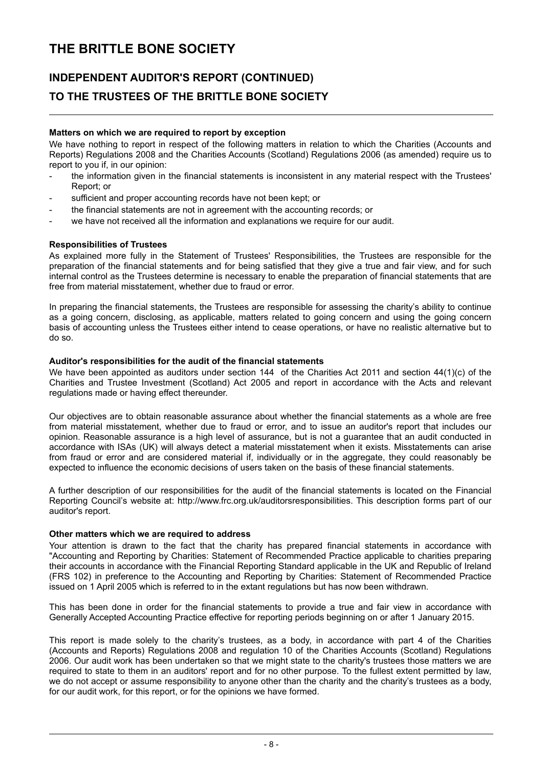# **INDEPENDENT AUDITOR'S REPORT (CONTINUED) TO THE TRUSTEES OF THE BRITTLE BONE SOCIETY**

### **Matters on which we are required to report by exception**

We have nothing to report in respect of the following matters in relation to which the Charities (Accounts and Reports) Regulations 2008 and the Charities Accounts (Scotland) Regulations 2006 (as amended) require us to report to you if, in our opinion:

- the information given in the financial statements is inconsistent in any material respect with the Trustees' Report; or
- sufficient and proper accounting records have not been kept; or
- the financial statements are not in agreement with the accounting records; or
- we have not received all the information and explanations we require for our audit.

### **Responsibilities of Trustees**

As explained more fully in the Statement of Trustees' Responsibilities, the Trustees are responsible for the preparation of the financial statements and for being satisfied that they give a true and fair view, and for such internal control as the Trustees determine is necessary to enable the preparation of financial statements that are free from material misstatement, whether due to fraud or error.

In preparing the financial statements, the Trustees are responsible for assessing the charity's ability to continue as a going concern, disclosing, as applicable, matters related to going concern and using the going concern basis of accounting unless the Trustees either intend to cease operations, or have no realistic alternative but to do so.

#### **Auditor's responsibilities for the audit of the financial statements**

We have been appointed as auditors under section 144 of the Charities Act 2011 and section 44(1)(c) of the Charities and Trustee Investment (Scotland) Act 2005 and report in accordance with the Acts and relevant regulations made or having effect thereunder.

Our objectives are to obtain reasonable assurance about whether the financial statements as a whole are free from material misstatement, whether due to fraud or error, and to issue an auditor's report that includes our opinion. Reasonable assurance is a high level of assurance, but is not a guarantee that an audit conducted in accordance with ISAs (UK) will always detect a material misstatement when it exists. Misstatements can arise from fraud or error and are considered material if, individually or in the aggregate, they could reasonably be expected to influence the economic decisions of users taken on the basis of these financial statements.

A further description of our responsibilities for the audit of the financial statements is located on the Financial Reporting Council's website at: http://www.frc.org.uk/auditorsresponsibilities. This description forms part of our auditor's report.

#### **Other matters which we are required to address**

Your attention is drawn to the fact that the charity has prepared financial statements in accordance with "Accounting and Reporting by Charities: Statement of Recommended Practice applicable to charities preparing their accounts in accordance with the Financial Reporting Standard applicable in the UK and Republic of Ireland (FRS 102) in preference to the Accounting and Reporting by Charities: Statement of Recommended Practice issued on 1 April 2005 which is referred to in the extant regulations but has now been withdrawn.

This has been done in order for the financial statements to provide a true and fair view in accordance with Generally Accepted Accounting Practice effective for reporting periods beginning on or after 1 January 2015.

This report is made solely to the charity's trustees, as a body, in accordance with part 4 of the Charities (Accounts and Reports) Regulations 2008 and regulation 10 of the Charities Accounts (Scotland) Regulations 2006. Our audit work has been undertaken so that we might state to the charity's trustees those matters we are required to state to them in an auditors' report and for no other purpose. To the fullest extent permitted by law, we do not accept or assume responsibility to anyone other than the charity and the charity's trustees as a body, for our audit work, for this report, or for the opinions we have formed.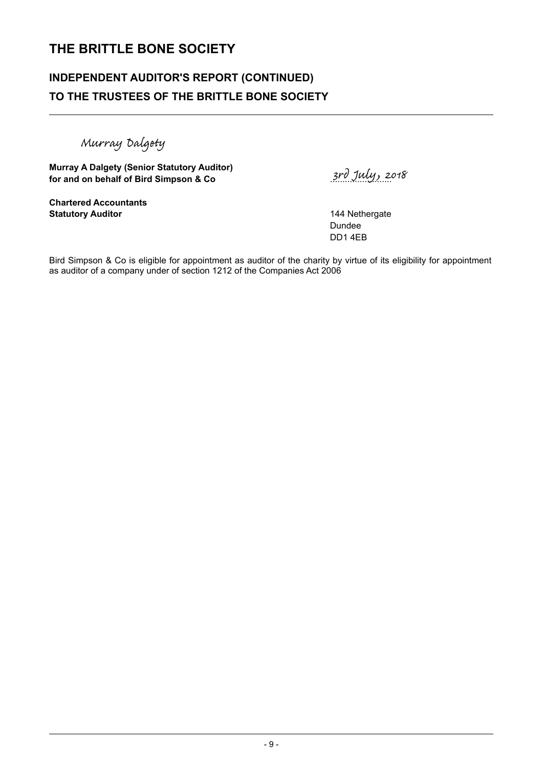# **INDEPENDENT AUDITOR'S REPORT (CONTINUED) TO THE TRUSTEES OF THE BRITTLE BONE SOCIETY**

Murray Dalgety

**Murray A Dalgety (Senior Statutory Auditor) for and on behalf of Bird Simpson & Co** .........................

**Chartered Accountants Statutory Auditor 144 Nethergate** 

Dundee DD1 4EB

Bird Simpson & Co is eligible for appointment as auditor of the charity by virtue of its eligibility for appointment as auditor of a company under of section 1212 of the Companies Act 2006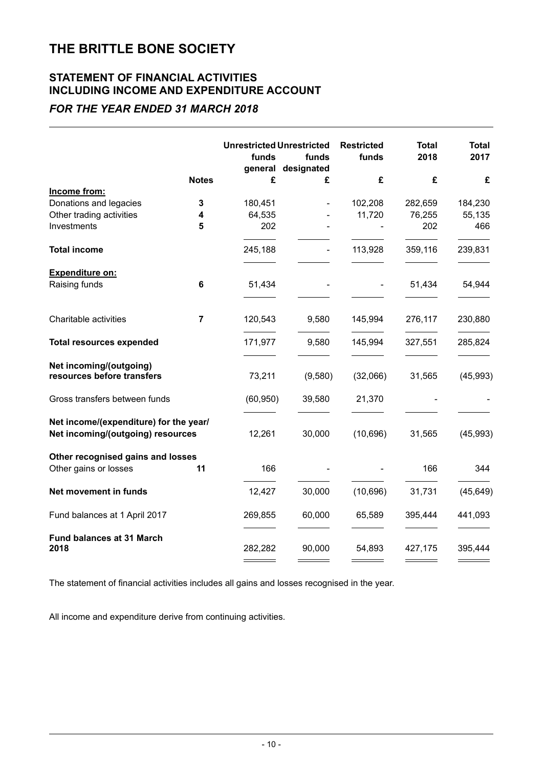### **STATEMENT OF FINANCIAL ACTIVITIES INCLUDING INCOME AND EXPENDITURE ACCOUNT**

### *FOR THE YEAR ENDED 31 MARCH 2018*

|                                                                             |                | <b>Unrestricted Unrestricted</b><br>funds | funds<br>general designated | <b>Restricted</b><br>funds | <b>Total</b><br>2018 | <b>Total</b><br>2017 |
|-----------------------------------------------------------------------------|----------------|-------------------------------------------|-----------------------------|----------------------------|----------------------|----------------------|
|                                                                             | <b>Notes</b>   | £                                         | £                           | £                          | £                    | £                    |
| Income from:                                                                |                |                                           |                             |                            |                      |                      |
| Donations and legacies                                                      | 3              | 180,451                                   |                             | 102,208                    | 282,659              | 184,230              |
| Other trading activities                                                    | 4              | 64,535                                    |                             | 11,720                     | 76,255               | 55,135               |
| Investments                                                                 | 5              | 202                                       |                             |                            | 202                  | 466                  |
| <b>Total income</b>                                                         |                | 245,188                                   |                             | 113,928                    | 359,116              | 239,831              |
| <b>Expenditure on:</b>                                                      |                |                                           |                             |                            |                      |                      |
| Raising funds                                                               | 6              | 51,434                                    |                             |                            | 51,434               | 54,944               |
| Charitable activities                                                       | $\overline{7}$ | 120,543                                   | 9,580                       | 145,994                    | 276,117              | 230,880              |
| <b>Total resources expended</b>                                             |                | 171,977                                   | 9,580                       | 145,994                    | 327,551              | 285,824              |
| Net incoming/(outgoing)<br>resources before transfers                       |                | 73,211                                    | (9,580)                     | (32,066)                   | 31,565               | (45, 993)            |
| Gross transfers between funds                                               |                | (60, 950)                                 | 39,580                      | 21,370                     |                      |                      |
| Net income/(expenditure) for the year/<br>Net incoming/(outgoing) resources |                | 12,261                                    | 30,000                      | (10,696)                   | 31,565               | (45, 993)            |
| Other recognised gains and losses<br>Other gains or losses                  | 11             | 166                                       |                             |                            | 166                  | 344                  |
| Net movement in funds                                                       |                | 12,427                                    | 30,000                      | (10,696)                   | 31,731               | (45, 649)            |
| Fund balances at 1 April 2017                                               |                | 269,855                                   | 60,000                      | 65,589                     | 395,444              | 441,093              |
| <b>Fund balances at 31 March</b><br>2018                                    |                | 282,282                                   | 90,000                      | 54,893                     | 427,175              | 395,444              |

The statement of financial activities includes all gains and losses recognised in the year.

All income and expenditure derive from continuing activities.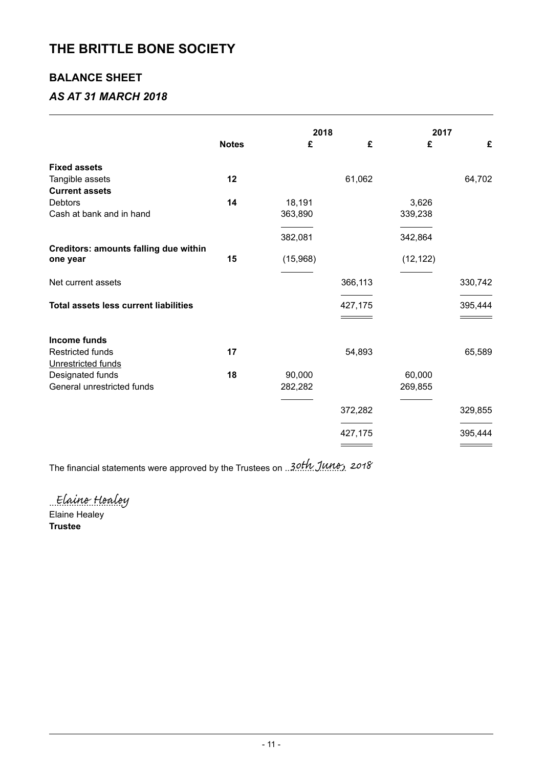### **BALANCE SHEET**

### *AS AT 31 MARCH 2018*

|                                                   |              | 2018     |         | 2017      |         |
|---------------------------------------------------|--------------|----------|---------|-----------|---------|
|                                                   | <b>Notes</b> | £        | £       | £         | £       |
| <b>Fixed assets</b>                               |              |          |         |           |         |
| Tangible assets<br><b>Current assets</b>          | 12           |          | 61,062  |           | 64,702  |
| <b>Debtors</b>                                    | 14           | 18,191   |         | 3,626     |         |
| Cash at bank and in hand                          |              | 363,890  |         | 339,238   |         |
|                                                   |              | 382,081  |         | 342,864   |         |
| Creditors: amounts falling due within<br>one year | 15           | (15,968) |         | (12, 122) |         |
| Net current assets                                |              |          | 366,113 |           | 330,742 |
| <b>Total assets less current liabilities</b>      |              |          | 427,175 |           | 395,444 |
| <b>Income funds</b>                               |              |          |         |           |         |
| <b>Restricted funds</b>                           | 17           |          | 54,893  |           | 65,589  |
| Unrestricted funds                                |              |          |         |           |         |
| Designated funds                                  | 18           | 90,000   |         | 60,000    |         |
| General unrestricted funds                        |              | 282,282  |         | 269,855   |         |
|                                                   |              |          | 372,282 |           | 329,855 |
|                                                   |              |          | 427,175 |           | 395,444 |
|                                                   |              |          |         |           |         |

The financial statements were approved by the Trustees on 30th June, 2018

Elaine Healey Elaine Healey

**Trustee**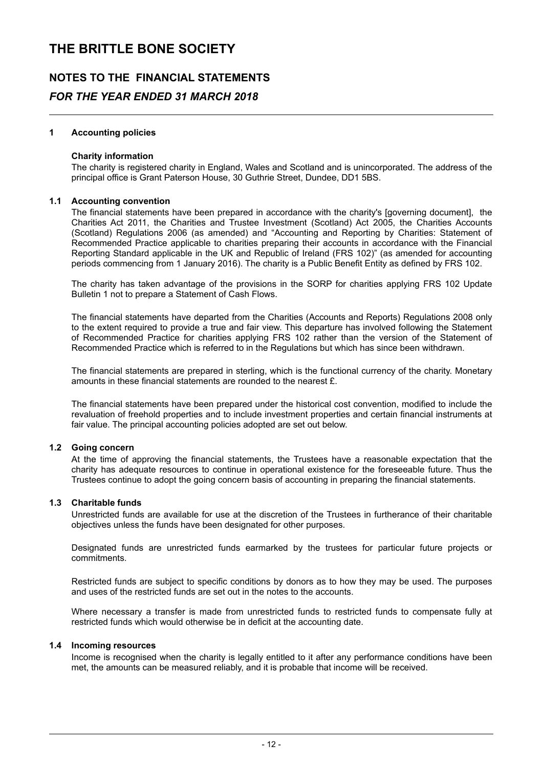# **NOTES TO THE FINANCIAL STATEMENTS** *FOR THE YEAR ENDED 31 MARCH 2018*

### **1 Accounting policies**

#### **Charity information**

The charity is registered charity in England, Wales and Scotland and is unincorporated. The address of the principal office is Grant Paterson House, 30 Guthrie Street, Dundee, DD1 5BS.

### **1.1 Accounting convention**

The financial statements have been prepared in accordance with the charity's [governing document], the Charities Act 2011, the Charities and Trustee Investment (Scotland) Act 2005, the Charities Accounts (Scotland) Regulations 2006 (as amended) and "Accounting and Reporting by Charities: Statement of Recommended Practice applicable to charities preparing their accounts in accordance with the Financial Reporting Standard applicable in the UK and Republic of Ireland (FRS 102)" (as amended for accounting periods commencing from 1 January 2016). The charity is a Public Benefit Entity as defined by FRS 102.

The charity has taken advantage of the provisions in the SORP for charities applying FRS 102 Update Bulletin 1 not to prepare a Statement of Cash Flows.

The financial statements have departed from the Charities (Accounts and Reports) Regulations 2008 only to the extent required to provide a true and fair view. This departure has involved following the Statement of Recommended Practice for charities applying FRS 102 rather than the version of the Statement of Recommended Practice which is referred to in the Regulations but which has since been withdrawn.

The financial statements are prepared in sterling, which is the functional currency of the charity. Monetary amounts in these financial statements are rounded to the nearest £.

The financial statements have been prepared under the historical cost convention, modified to include the revaluation of freehold properties and to include investment properties and certain financial instruments at fair value. The principal accounting policies adopted are set out below.

### **1.2 Going concern**

At the time of approving the financial statements, the Trustees have a reasonable expectation that the charity has adequate resources to continue in operational existence for the foreseeable future. Thus the Trustees continue to adopt the going concern basis of accounting in preparing the financial statements.

### **1.3 Charitable funds**

Unrestricted funds are available for use at the discretion of the Trustees in furtherance of their charitable objectives unless the funds have been designated for other purposes.

Designated funds are unrestricted funds earmarked by the trustees for particular future projects or commitments.

Restricted funds are subject to specific conditions by donors as to how they may be used. The purposes and uses of the restricted funds are set out in the notes to the accounts.

Where necessary a transfer is made from unrestricted funds to restricted funds to compensate fully at restricted funds which would otherwise be in deficit at the accounting date.

### **1.4 Incoming resources**

Income is recognised when the charity is legally entitled to it after any performance conditions have been met, the amounts can be measured reliably, and it is probable that income will be received.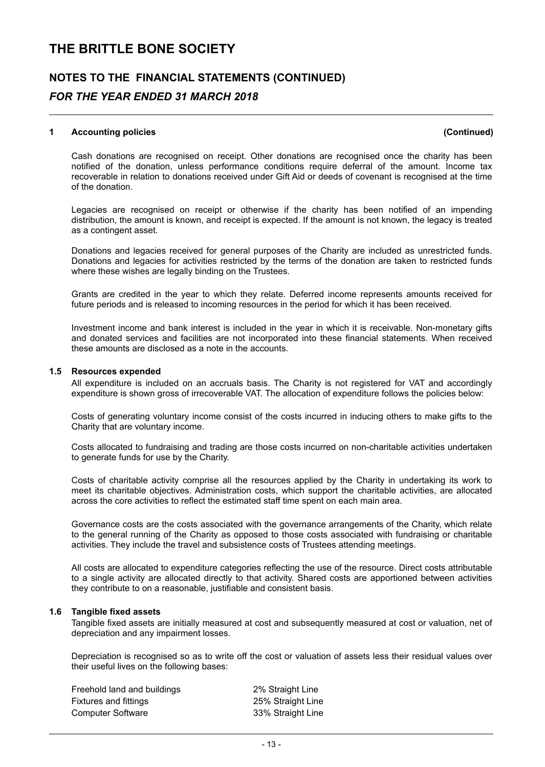# **NOTES TO THE FINANCIAL STATEMENTS (CONTINUED)** *FOR THE YEAR ENDED 31 MARCH 2018*

### **1 Accounting policies (Continued)**

Cash donations are recognised on receipt. Other donations are recognised once the charity has been notified of the donation, unless performance conditions require deferral of the amount. Income tax recoverable in relation to donations received under Gift Aid or deeds of covenant is recognised at the time of the donation.

Legacies are recognised on receipt or otherwise if the charity has been notified of an impending distribution, the amount is known, and receipt is expected. If the amount is not known, the legacy is treated as a contingent asset.

Donations and legacies received for general purposes of the Charity are included as unrestricted funds. Donations and legacies for activities restricted by the terms of the donation are taken to restricted funds where these wishes are legally binding on the Trustees.

Grants are credited in the year to which they relate. Deferred income represents amounts received for future periods and is released to incoming resources in the period for which it has been received.

Investment income and bank interest is included in the year in which it is receivable. Non-monetary gifts and donated services and facilities are not incorporated into these financial statements. When received these amounts are disclosed as a note in the accounts.

#### **1.5 Resources expended**

All expenditure is included on an accruals basis. The Charity is not registered for VAT and accordingly expenditure is shown gross of irrecoverable VAT. The allocation of expenditure follows the policies below:

Costs of generating voluntary income consist of the costs incurred in inducing others to make gifts to the Charity that are voluntary income.

Costs allocated to fundraising and trading are those costs incurred on non-charitable activities undertaken to generate funds for use by the Charity.

Costs of charitable activity comprise all the resources applied by the Charity in undertaking its work to meet its charitable objectives. Administration costs, which support the charitable activities, are allocated across the core activities to reflect the estimated staff time spent on each main area.

Governance costs are the costs associated with the governance arrangements of the Charity, which relate to the general running of the Charity as opposed to those costs associated with fundraising or charitable activities. They include the travel and subsistence costs of Trustees attending meetings.

All costs are allocated to expenditure categories reflecting the use of the resource. Direct costs attributable to a single activity are allocated directly to that activity. Shared costs are apportioned between activities they contribute to on a reasonable, justifiable and consistent basis.

### **1.6 Tangible fixed assets**

Tangible fixed assets are initially measured at cost and subsequently measured at cost or valuation, net of depreciation and any impairment losses.

Depreciation is recognised so as to write off the cost or valuation of assets less their residual values over their useful lives on the following bases:

| Freehold land and buildings | 2% Straight Line  |
|-----------------------------|-------------------|
| Fixtures and fittings       | 25% Straight Line |
| <b>Computer Software</b>    | 33% Straight Line |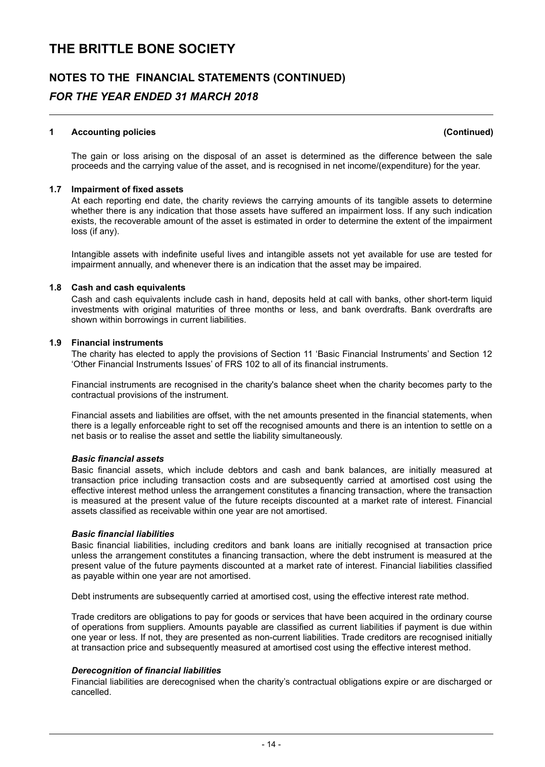### **NOTES TO THE FINANCIAL STATEMENTS (CONTINUED)** *FOR THE YEAR ENDED 31 MARCH 2018*

### **1 Accounting policies (Continued)**

The gain or loss arising on the disposal of an asset is determined as the difference between the sale proceeds and the carrying value of the asset, and is recognised in net income/(expenditure) for the year.

#### **1.7 Impairment of fixed assets**

At each reporting end date, the charity reviews the carrying amounts of its tangible assets to determine whether there is any indication that those assets have suffered an impairment loss. If any such indication exists, the recoverable amount of the asset is estimated in order to determine the extent of the impairment loss (if any).

Intangible assets with indefinite useful lives and intangible assets not yet available for use are tested for impairment annually, and whenever there is an indication that the asset may be impaired.

#### **1.8 Cash and cash equivalents**

Cash and cash equivalents include cash in hand, deposits held at call with banks, other short-term liquid investments with original maturities of three months or less, and bank overdrafts. Bank overdrafts are shown within borrowings in current liabilities.

#### **1.9 Financial instruments**

The charity has elected to apply the provisions of Section 11 'Basic Financial Instruments' and Section 12 'Other Financial Instruments Issues' of FRS 102 to all of its financial instruments.

Financial instruments are recognised in the charity's balance sheet when the charity becomes party to the contractual provisions of the instrument.

Financial assets and liabilities are offset, with the net amounts presented in the financial statements, when there is a legally enforceable right to set off the recognised amounts and there is an intention to settle on a net basis or to realise the asset and settle the liability simultaneously.

#### *Basic financial assets*

Basic financial assets, which include debtors and cash and bank balances, are initially measured at transaction price including transaction costs and are subsequently carried at amortised cost using the effective interest method unless the arrangement constitutes a financing transaction, where the transaction is measured at the present value of the future receipts discounted at a market rate of interest. Financial assets classified as receivable within one year are not amortised.

#### *Basic financial liabilities*

Basic financial liabilities, including creditors and bank loans are initially recognised at transaction price unless the arrangement constitutes a financing transaction, where the debt instrument is measured at the present value of the future payments discounted at a market rate of interest. Financial liabilities classified as payable within one year are not amortised.

Debt instruments are subsequently carried at amortised cost, using the effective interest rate method.

Trade creditors are obligations to pay for goods or services that have been acquired in the ordinary course of operations from suppliers. Amounts payable are classified as current liabilities if payment is due within one year or less. If not, they are presented as non-current liabilities. Trade creditors are recognised initially at transaction price and subsequently measured at amortised cost using the effective interest method.

#### *Derecognition of financial liabilities*

Financial liabilities are derecognised when the charity's contractual obligations expire or are discharged or cancelled.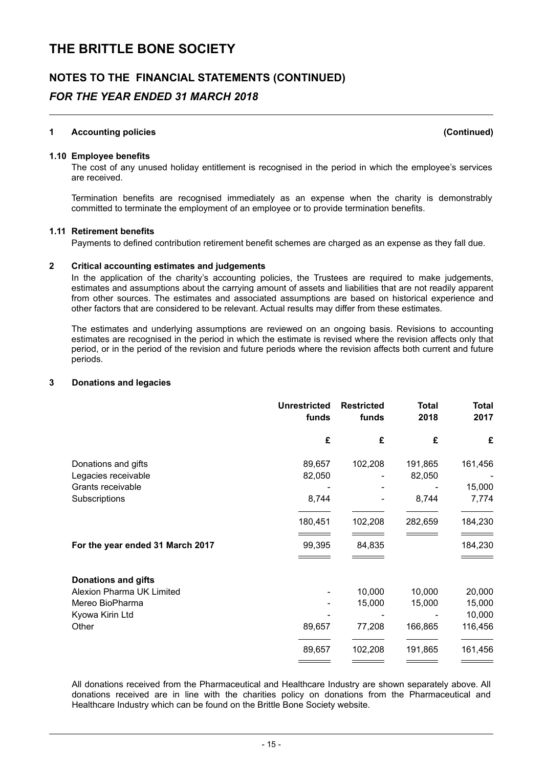### **NOTES TO THE FINANCIAL STATEMENTS (CONTINUED)**

### *FOR THE YEAR ENDED 31 MARCH 2018*

### **1 Accounting policies (Continued)**

### **1.10 Employee benefits**

The cost of any unused holiday entitlement is recognised in the period in which the employee's services are received.

Termination benefits are recognised immediately as an expense when the charity is demonstrably committed to terminate the employment of an employee or to provide termination benefits.

### **1.11 Retirement benefits**

Payments to defined contribution retirement benefit schemes are charged as an expense as they fall due.

### **2 Critical accounting estimates and judgements**

In the application of the charity's accounting policies, the Trustees are required to make judgements, estimates and assumptions about the carrying amount of assets and liabilities that are not readily apparent from other sources. The estimates and associated assumptions are based on historical experience and other factors that are considered to be relevant. Actual results may differ from these estimates.

The estimates and underlying assumptions are reviewed on an ongoing basis. Revisions to accounting estimates are recognised in the period in which the estimate is revised where the revision affects only that period, or in the period of the revision and future periods where the revision affects both current and future periods.

### **3 Donations and legacies**

|                                  | <b>Unrestricted</b><br>funds | <b>Restricted</b><br>funds | <b>Total</b><br>2018 | <b>Total</b><br>2017 |
|----------------------------------|------------------------------|----------------------------|----------------------|----------------------|
|                                  | £                            | £                          | £                    | £                    |
| Donations and gifts              | 89,657                       | 102,208                    | 191,865              | 161,456              |
| Legacies receivable              | 82,050                       |                            | 82,050               |                      |
| Grants receivable                |                              |                            |                      | 15,000               |
| Subscriptions                    | 8,744                        |                            | 8,744                | 7,774                |
|                                  | 180,451                      | 102,208                    | 282,659              | 184,230              |
| For the year ended 31 March 2017 | 99,395                       | 84,835                     |                      | 184,230              |
| <b>Donations and gifts</b>       |                              |                            |                      |                      |
| Alexion Pharma UK Limited        |                              | 10,000                     | 10,000               | 20,000               |
| Mereo BioPharma                  |                              | 15,000                     | 15,000               | 15,000               |
| Kyowa Kirin Ltd                  |                              |                            |                      | 10,000               |
| Other                            | 89,657                       | 77,208                     | 166,865              | 116,456              |
|                                  | 89,657                       | 102,208                    | 191,865              | 161,456              |
|                                  |                              |                            |                      |                      |

All donations received from the Pharmaceutical and Healthcare Industry are shown separately above. All donations received are in line with the charities policy on donations from the Pharmaceutical and Healthcare Industry which can be found on the Brittle Bone Society website.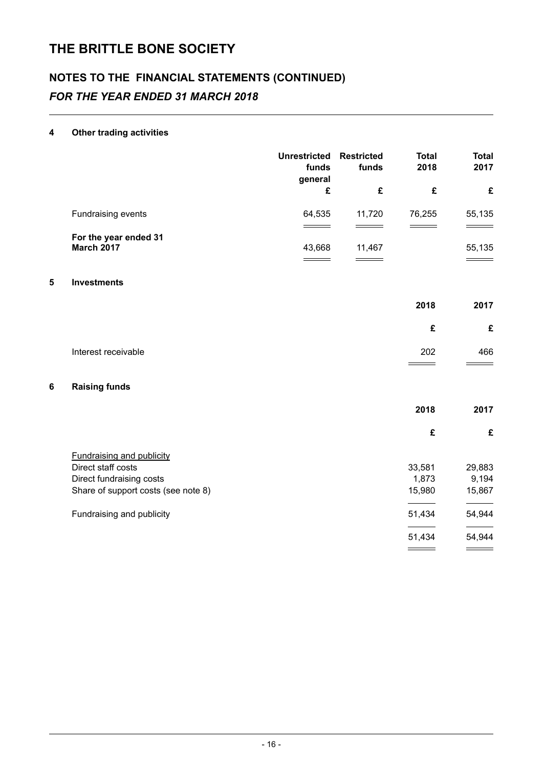# **NOTES TO THE FINANCIAL STATEMENTS (CONTINUED)** *FOR THE YEAR ENDED 31 MARCH 2018*

### **4 Other trading activities**

|   |                                     | <b>Unrestricted</b><br>funds<br>general | <b>Restricted</b><br>funds | <b>Total</b><br>2018 | <b>Total</b><br>2017 |
|---|-------------------------------------|-----------------------------------------|----------------------------|----------------------|----------------------|
|   |                                     | £                                       | £                          | £                    | £                    |
|   | Fundraising events                  | 64,535                                  | 11,720                     | 76,255               | 55,135               |
|   | For the year ended 31               |                                         | $\equiv$                   |                      |                      |
|   | March 2017                          | 43,668                                  | 11,467<br>_____            |                      | 55,135               |
| 5 | <b>Investments</b>                  |                                         |                            |                      |                      |
|   |                                     |                                         |                            | 2018                 | 2017                 |
|   |                                     |                                         |                            | £                    | £                    |
|   | Interest receivable                 |                                         |                            | 202<br>$\equiv$      | 466                  |
| 6 | <b>Raising funds</b>                |                                         |                            |                      |                      |
|   |                                     |                                         |                            | 2018                 | 2017                 |
|   |                                     |                                         |                            | £                    | £                    |
|   | <b>Fundraising and publicity</b>    |                                         |                            |                      |                      |
|   | Direct staff costs                  |                                         |                            | 33,581               | 29,883               |
|   | Direct fundraising costs            |                                         |                            | 1,873                | 9,194                |
|   | Share of support costs (see note 8) |                                         |                            | 15,980               | 15,867               |
|   | Fundraising and publicity           |                                         |                            | 51,434               | 54,944               |
|   |                                     |                                         |                            | 51,434               | 54,944               |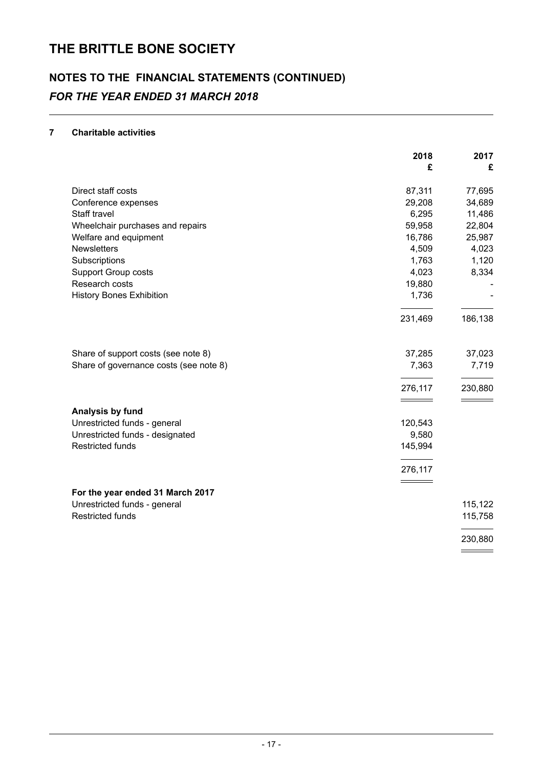# **NOTES TO THE FINANCIAL STATEMENTS (CONTINUED)** *FOR THE YEAR ENDED 31 MARCH 2018*

### **7 Charitable activities**

|                                        | 2018    | 2017    |
|----------------------------------------|---------|---------|
|                                        | £       | £       |
| Direct staff costs                     | 87,311  | 77,695  |
| Conference expenses                    | 29,208  | 34,689  |
| Staff travel                           | 6,295   | 11,486  |
| Wheelchair purchases and repairs       | 59,958  | 22,804  |
| Welfare and equipment                  | 16,786  | 25,987  |
| <b>Newsletters</b>                     | 4,509   | 4,023   |
| Subscriptions                          | 1,763   | 1,120   |
| Support Group costs                    | 4,023   | 8,334   |
| Research costs                         | 19,880  |         |
| <b>History Bones Exhibition</b>        | 1,736   |         |
|                                        | 231,469 | 186,138 |
| Share of support costs (see note 8)    | 37,285  | 37,023  |
| Share of governance costs (see note 8) | 7,363   | 7,719   |
|                                        | 276,117 | 230,880 |
|                                        |         |         |
| Analysis by fund                       |         |         |
| Unrestricted funds - general           | 120,543 |         |
| Unrestricted funds - designated        | 9,580   |         |
| <b>Restricted funds</b>                | 145,994 |         |
|                                        | 276,117 |         |
|                                        |         |         |
| For the year ended 31 March 2017       |         |         |
| Unrestricted funds - general           |         | 115,122 |
| <b>Restricted funds</b>                |         | 115,758 |
|                                        |         | 230,880 |
|                                        |         |         |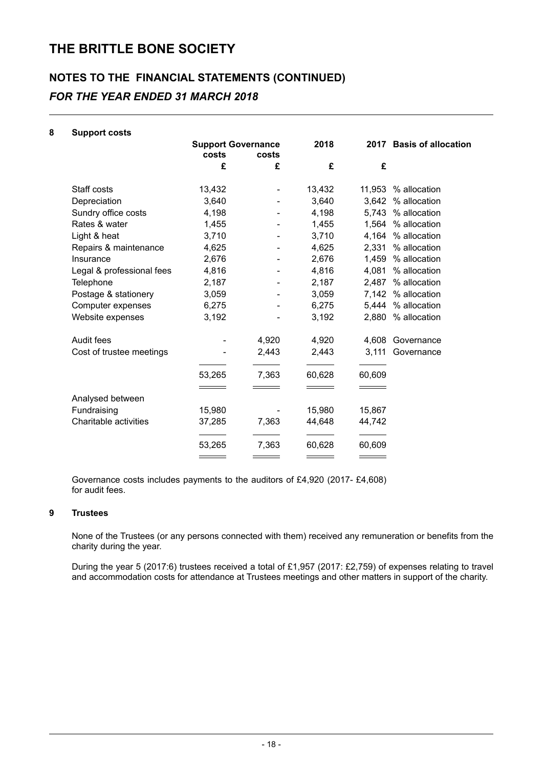# **NOTES TO THE FINANCIAL STATEMENTS (CONTINUED)** *FOR THE YEAR ENDED 31 MARCH 2018*

| 8 | <b>Support costs</b>      |                                    |       |        |        |                          |
|---|---------------------------|------------------------------------|-------|--------|--------|--------------------------|
|   |                           | <b>Support Governance</b><br>costs | costs | 2018   |        | 2017 Basis of allocation |
|   |                           | £                                  | £     | £      | £      |                          |
|   | Staff costs               | 13,432                             | -     | 13,432 |        | 11,953 % allocation      |
|   | Depreciation              | 3,640                              |       | 3,640  |        | 3,642 % allocation       |
|   | Sundry office costs       | 4,198                              |       | 4,198  |        | 5,743 % allocation       |
|   | Rates & water             | 1,455                              |       | 1,455  |        | 1,564 % allocation       |
|   | Light & heat              | 3,710                              |       | 3,710  |        | 4,164 % allocation       |
|   | Repairs & maintenance     | 4,625                              |       | 4,625  |        | 2,331 % allocation       |
|   | Insurance                 | 2,676                              |       | 2,676  |        | 1,459 % allocation       |
|   | Legal & professional fees | 4,816                              |       | 4,816  | 4,081  | % allocation             |
|   | Telephone                 | 2,187                              |       | 2,187  |        | 2,487 % allocation       |
|   | Postage & stationery      | 3,059                              |       | 3,059  |        | 7,142 % allocation       |
|   | Computer expenses         | 6,275                              |       | 6,275  |        | 5,444 % allocation       |
|   | Website expenses          | 3,192                              |       | 3,192  |        | 2,880 % allocation       |
|   | Audit fees                |                                    | 4,920 | 4,920  | 4,608  | Governance               |
|   | Cost of trustee meetings  |                                    | 2,443 | 2,443  | 3,111  | Governance               |
|   |                           | 53,265                             | 7,363 | 60,628 | 60,609 |                          |
|   | Analysed between          |                                    |       |        |        |                          |
|   | Fundraising               | 15,980                             |       | 15,980 | 15,867 |                          |
|   | Charitable activities     | 37,285                             | 7,363 | 44,648 | 44,742 |                          |
|   |                           | 53,265                             | 7,363 | 60,628 | 60,609 |                          |
|   |                           |                                    |       |        |        |                          |

Governance costs includes payments to the auditors of £4,920 (2017- £4,608) for audit fees.

### **9 Trustees**

None of the Trustees (or any persons connected with them) received any remuneration or benefits from the charity during the year.

During the year 5 (2017:6) trustees received a total of £1,957 (2017: £2,759) of expenses relating to travel and accommodation costs for attendance at Trustees meetings and other matters in support of the charity.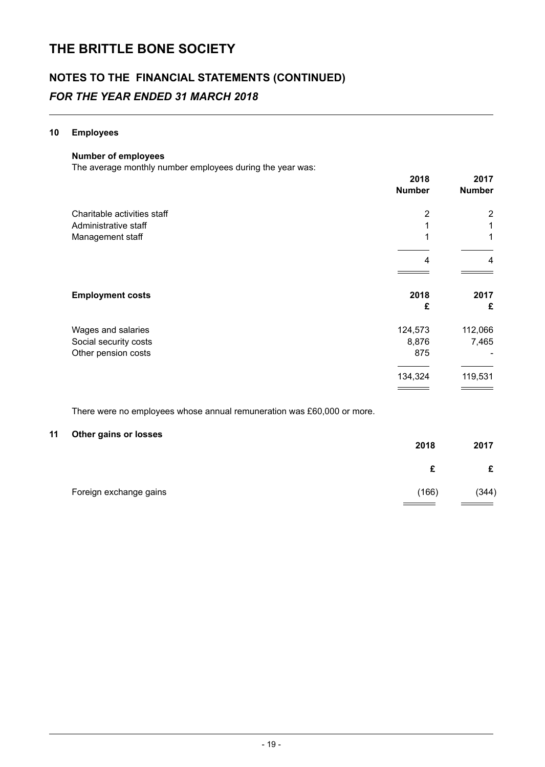# **NOTES TO THE FINANCIAL STATEMENTS (CONTINUED)** *FOR THE YEAR ENDED 31 MARCH 2018*

### **10 Employees**

### **Number of employees**

The average monthly number employees during the year was:

|                             | 2018<br><b>Number</b> | 2017<br><b>Number</b> |
|-----------------------------|-----------------------|-----------------------|
| Charitable activities staff | 2                     | $\overline{2}$        |
| Administrative staff        |                       |                       |
| Management staff            |                       | 1                     |
|                             | 4                     | 4                     |
|                             |                       |                       |
| <b>Employment costs</b>     | 2018                  | 2017                  |
|                             | £                     | £                     |
| Wages and salaries          | 124,573               | 112,066               |
| Social security costs       | 8,876                 | 7,465                 |
| Other pension costs         | 875                   |                       |
|                             | 134,324               | 119,531               |
|                             |                       |                       |

There were no employees whose annual remuneration was £60,000 or more.

### **11 Other gains or losses**

| _                      | 2018  | 2017  |
|------------------------|-------|-------|
|                        |       | £     |
| Foreign exchange gains | (166) | (344) |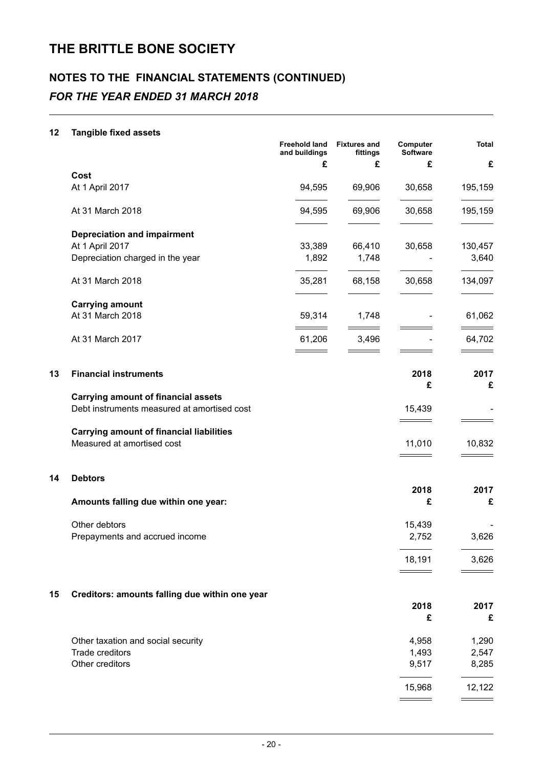# **NOTES TO THE FINANCIAL STATEMENTS (CONTINUED)** *FOR THE YEAR ENDED 31 MARCH 2018*

### **12 Tangible fixed assets**

|    |                                                                               | <b>Freehold land</b><br>and buildings | <b>Fixtures and</b><br>fittings | Computer<br><b>Software</b> | <b>Total</b> |
|----|-------------------------------------------------------------------------------|---------------------------------------|---------------------------------|-----------------------------|--------------|
|    | Cost                                                                          | £                                     | £                               | £                           | £            |
|    | At 1 April 2017                                                               | 94,595                                | 69,906                          | 30,658                      | 195,159      |
|    | At 31 March 2018                                                              | 94,595                                | 69,906                          | 30,658                      | 195,159      |
|    | <b>Depreciation and impairment</b>                                            |                                       |                                 |                             |              |
|    | At 1 April 2017                                                               | 33,389                                | 66,410                          | 30,658                      | 130,457      |
|    | Depreciation charged in the year                                              | 1,892                                 | 1,748                           |                             | 3,640        |
|    | At 31 March 2018                                                              | 35,281                                | 68,158                          | 30,658                      | 134,097      |
|    | <b>Carrying amount</b>                                                        |                                       |                                 |                             |              |
|    | At 31 March 2018                                                              | 59,314                                | 1,748                           |                             | 61,062       |
|    | At 31 March 2017                                                              | 61,206                                | 3,496                           |                             | 64,702       |
| 13 | <b>Financial instruments</b>                                                  |                                       |                                 | 2018                        | 2017         |
|    | <b>Carrying amount of financial assets</b>                                    |                                       |                                 | £                           | £            |
|    | Debt instruments measured at amortised cost                                   |                                       |                                 | 15,439                      |              |
|    | <b>Carrying amount of financial liabilities</b><br>Measured at amortised cost |                                       |                                 | 11,010                      | 10,832       |
|    |                                                                               |                                       |                                 |                             |              |
| 14 | <b>Debtors</b>                                                                |                                       |                                 |                             |              |
|    | Amounts falling due within one year:                                          |                                       |                                 | 2018<br>£                   | 2017<br>£    |
|    | Other debtors                                                                 |                                       |                                 | 15,439                      |              |
|    | Prepayments and accrued income                                                |                                       |                                 | 2,752                       | 3,626        |
|    |                                                                               |                                       |                                 | 18,191                      | 3,626        |
| 15 | Creditors: amounts falling due within one year                                |                                       |                                 |                             |              |
|    |                                                                               |                                       |                                 | 2018                        | 2017         |
|    |                                                                               |                                       |                                 | £                           | £            |
|    | Other taxation and social security                                            |                                       |                                 | 4,958                       | 1,290        |
|    | Trade creditors                                                               |                                       |                                 | 1,493                       | 2,547        |
|    | Other creditors                                                               |                                       |                                 | 9,517                       | 8,285        |
|    |                                                                               |                                       |                                 | 15,968                      | 12,122       |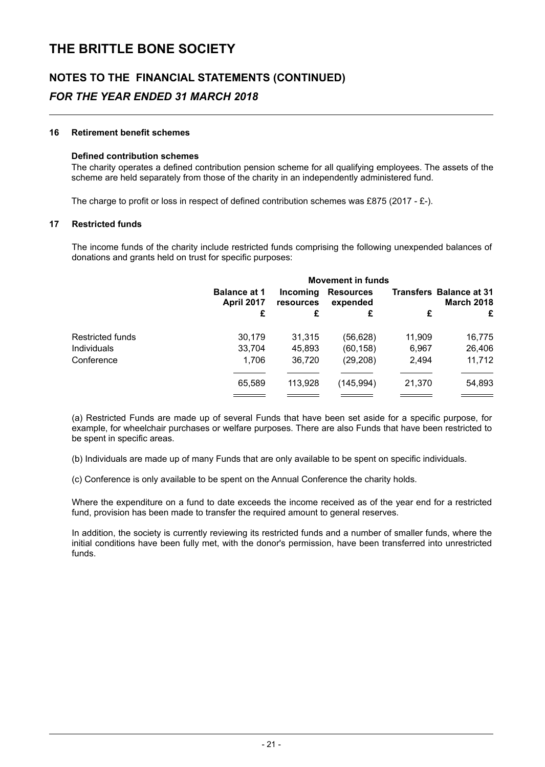# **NOTES TO THE FINANCIAL STATEMENTS (CONTINUED)**

### *FOR THE YEAR ENDED 31 MARCH 2018*

### **16 Retirement benefit schemes**

### **Defined contribution schemes**

The charity operates a defined contribution pension scheme for all qualifying employees. The assets of the scheme are held separately from those of the charity in an independently administered fund.

The charge to profit or loss in respect of defined contribution schemes was £875 (2017 - £-).

### **17 Restricted funds**

The income funds of the charity include restricted funds comprising the following unexpended balances of donations and grants held on trust for specific purposes:

|                    | <b>Movement in funds</b>                 |                              |                              |        |                                                     |
|--------------------|------------------------------------------|------------------------------|------------------------------|--------|-----------------------------------------------------|
|                    | <b>Balance at 1</b><br><b>April 2017</b> | <b>Incoming</b><br>resources | <b>Resources</b><br>expended |        | <b>Transfers Balance at 31</b><br><b>March 2018</b> |
|                    | £                                        | £                            | £                            | £      | £                                                   |
| Restricted funds   | 30,179                                   | 31,315                       | (56,628)                     | 11,909 | 16,775                                              |
| <b>Individuals</b> | 33,704                                   | 45,893                       | (60, 158)                    | 6,967  | 26,406                                              |
| Conference         | 1.706                                    | 36.720                       | (29, 208)                    | 2.494  | 11,712                                              |
|                    | 65,589                                   | 113,928                      | (145, 994)                   | 21,370 | 54,893                                              |
|                    |                                          |                              |                              |        |                                                     |

(a) Restricted Funds are made up of several Funds that have been set aside for a specific purpose, for example, for wheelchair purchases or welfare purposes. There are also Funds that have been restricted to be spent in specific areas.

(b) Individuals are made up of many Funds that are only available to be spent on specific individuals.

(c) Conference is only available to be spent on the Annual Conference the charity holds.

Where the expenditure on a fund to date exceeds the income received as of the year end for a restricted fund, provision has been made to transfer the required amount to general reserves.

In addition, the society is currently reviewing its restricted funds and a number of smaller funds, where the initial conditions have been fully met, with the donor's permission, have been transferred into unrestricted funds.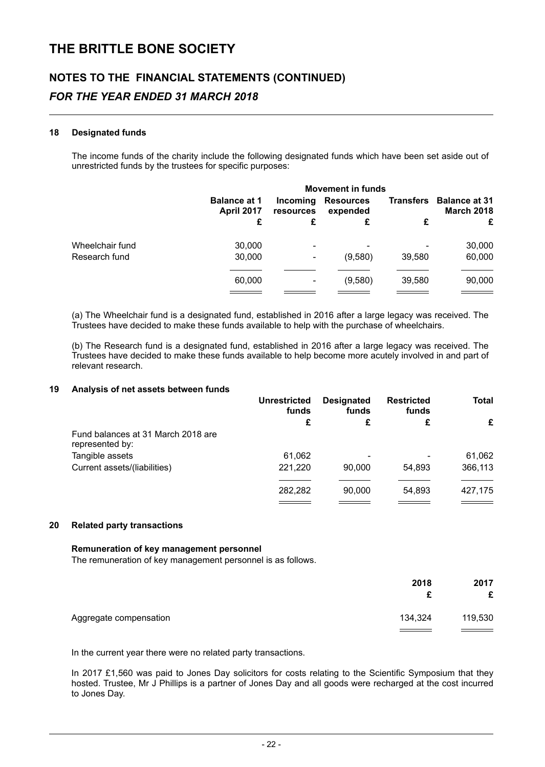# **NOTES TO THE FINANCIAL STATEMENTS (CONTINUED)** *FOR THE YEAR ENDED 31 MARCH 2018*

### **18 Designated funds**

The income funds of the charity include the following designated funds which have been set aside out of unrestricted funds by the trustees for specific purposes:

|                 | <b>Movement in funds</b>                 |                              |                              |           |                                           |
|-----------------|------------------------------------------|------------------------------|------------------------------|-----------|-------------------------------------------|
|                 | <b>Balance at 1</b><br><b>April 2017</b> | <b>Incoming</b><br>resources | <b>Resources</b><br>expended | Transfers | <b>Balance at 31</b><br><b>March 2018</b> |
|                 |                                          | £                            | £                            | £         | £                                         |
| Wheelchair fund | 30,000                                   |                              | -                            |           | 30,000                                    |
| Research fund   | 30,000                                   |                              | (9,580)                      | 39,580    | 60,000                                    |
|                 | 60,000                                   | -                            | (9,580)                      | 39,580    | 90,000                                    |
|                 |                                          |                              |                              |           |                                           |

(a) The Wheelchair fund is a designated fund, established in 2016 after a large legacy was received. The Trustees have decided to make these funds available to help with the purchase of wheelchairs.

(b) The Research fund is a designated fund, established in 2016 after a large legacy was received. The Trustees have decided to make these funds available to help become more acutely involved in and part of relevant research.

#### **19 Analysis of net assets between funds**

|                                                       | <b>Unrestricted</b><br>funds | <b>Designated</b><br>funds | <b>Restricted</b><br>funds | <b>Total</b> |
|-------------------------------------------------------|------------------------------|----------------------------|----------------------------|--------------|
|                                                       | £                            | £                          | £                          | £            |
| Fund balances at 31 March 2018 are<br>represented by: |                              |                            |                            |              |
| Tangible assets                                       | 61,062                       | -                          |                            | 61,062       |
| Current assets/(liabilities)                          | 221,220                      | 90,000                     | 54.893                     | 366,113      |
|                                                       | 282.282                      | 90,000                     | 54.893                     | 427,175      |

### **20 Related party transactions**

### **Remuneration of key management personnel**

The remuneration of key management personnel is as follows.

|                        | 2018    | 2017<br>£ |
|------------------------|---------|-----------|
| Aggregate compensation | 134,324 | 119,530   |

In the current year there were no related party transactions.

In 2017 £1,560 was paid to Jones Day solicitors for costs relating to the Scientific Symposium that they hosted. Trustee, Mr J Phillips is a partner of Jones Day and all goods were recharged at the cost incurred to Jones Day.